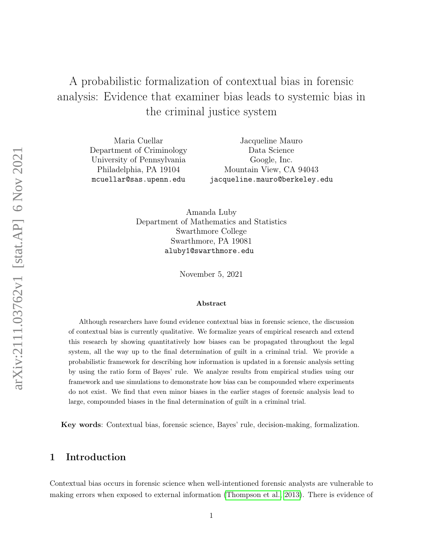# <span id="page-0-0"></span>A probabilistic formalization of contextual bias in forensic analysis: Evidence that examiner bias leads to systemic bias in the criminal justice system

Maria Cuellar Department of Criminology University of Pennsylvania Philadelphia, PA 19104 mcuellar@sas.upenn.edu

Jacqueline Mauro Data Science Google, Inc. Mountain View, CA 94043 jacqueline.mauro@berkeley.edu

Amanda Luby Department of Mathematics and Statistics Swarthmore College Swarthmore, PA 19081 aluby1@swarthmore.edu

November 5, 2021

#### Abstract

Although researchers have found evidence contextual bias in forensic science, the discussion of contextual bias is currently qualitative. We formalize years of empirical research and extend this research by showing quantitatively how biases can be propagated throughout the legal system, all the way up to the final determination of guilt in a criminal trial. We provide a probabilistic framework for describing how information is updated in a forensic analysis setting by using the ratio form of Bayes' rule. We analyze results from empirical studies using our framework and use simulations to demonstrate how bias can be compounded where experiments do not exist. We find that even minor biases in the earlier stages of forensic analysis lead to large, compounded biases in the final determination of guilt in a criminal trial.

Key words: Contextual bias, forensic science, Bayes' rule, decision-making, formalization.

### 1 Introduction

Contextual bias occurs in forensic science when well-intentioned forensic analysts are vulnerable to making errors when exposed to external information [\(Thompson et al., 2013\)](#page-29-0). There is evidence of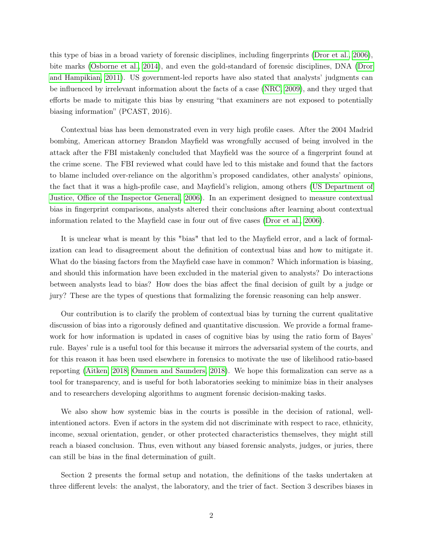this type of bias in a broad variety of forensic disciplines, including fingerprints [\(Dror et al., 2006\)](#page-28-0), bite marks [\(Osborne et al., 2014\)](#page-29-1), and even the gold-standard of forensic disciplines, DNA [\(Dror](#page-28-1) [and Hampikian, 2011\)](#page-28-1). US government-led reports have also stated that analysts' judgments can be influenced by irrelevant information about the facts of a case [\(NRC, 2009\)](#page-29-2), and they urged that efforts be made to mitigate this bias by ensuring "that examiners are not exposed to potentially biasing information" (PCAST, 2016).

Contextual bias has been demonstrated even in very high profile cases. After the 2004 Madrid bombing, American attorney Brandon Mayfield was wrongfully accused of being involved in the attack after the FBI mistakenly concluded that Mayfield was the source of a fingerprint found at the crime scene. The FBI reviewed what could have led to this mistake and found that the factors to blame included over-reliance on the algorithm's proposed candidates, other analysts' opinions, the fact that it was a high-profile case, and Mayfield's religion, among others [\(US Department of](#page-29-3) [Justice, Office of the Inspector General, 2006\)](#page-29-3). In an experiment designed to measure contextual bias in fingerprint comparisons, analysts altered their conclusions after learning about contextual information related to the Mayfield case in four out of five cases [\(Dror et al., 2006\)](#page-28-0).

It is unclear what is meant by this "bias" that led to the Mayfield error, and a lack of formalization can lead to disagreement about the definition of contextual bias and how to mitigate it. What do the biasing factors from the Mayfield case have in common? Which information is biasing, and should this information have been excluded in the material given to analysts? Do interactions between analysts lead to bias? How does the bias affect the final decision of guilt by a judge or jury? These are the types of questions that formalizing the forensic reasoning can help answer.

Our contribution is to clarify the problem of contextual bias by turning the current qualitative discussion of bias into a rigorously defined and quantitative discussion. We provide a formal framework for how information is updated in cases of cognitive bias by using the ratio form of Bayes' rule. Bayes' rule is a useful tool for this because it mirrors the adversarial system of the courts, and for this reason it has been used elsewhere in forensics to motivate the use of likelihood ratio-based reporting [\(Aitken, 2018;](#page-28-2) [Ommen and Saunders, 2018\)](#page-29-4). We hope this formalization can serve as a tool for transparency, and is useful for both laboratories seeking to minimize bias in their analyses and to researchers developing algorithms to augment forensic decision-making tasks.

We also show how systemic bias in the courts is possible in the decision of rational, wellintentioned actors. Even if actors in the system did not discriminate with respect to race, ethnicity, income, sexual orientation, gender, or other protected characteristics themselves, they might still reach a biased conclusion. Thus, even without any biased forensic analysts, judges, or juries, there can still be bias in the final determination of guilt.

Section 2 presents the formal setup and notation, the definitions of the tasks undertaken at three different levels: the analyst, the laboratory, and the trier of fact. Section 3 describes biases in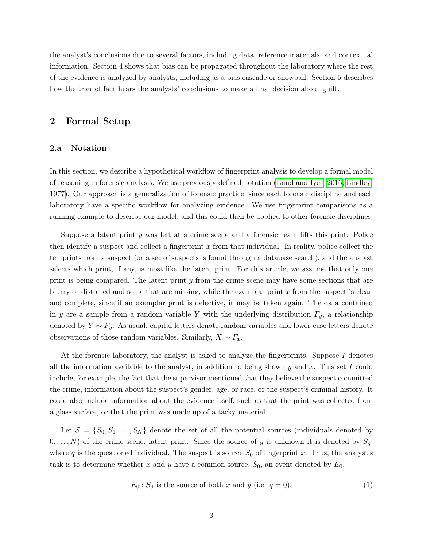the analyst's conclusions due to several factors, including data, reference materials, and contextual information. Section 4 shows that bias can be propagated throughout the laboratory where the rest of the evidence is analyzed by analysts, including as a bias cascade or snowball. Section 5 describes how the trier of fact hears the analysts' conclusions to make a final decision about guilt.

### 2 Formal Setup

#### 2.a Notation

In this section, we describe a hypothetical workflow of fingerprint analysis to develop a formal model of reasoning in forensic analysis. We use previously defined notation [\(Lund and Iyer, 2016;](#page-28-3) [Lindley,](#page-28-4) [1977\)](#page-28-4). Our approach is a generalization of forensic practice, since each forensic discipline and each laboratory have a specific workflow for analyzing evidence. We use fingerprint comparisons as a running example to describe our model, and this could then be applied to other forensic disciplines.

Suppose a latent print  $y$  was left at a crime scene and a forensic team lifts this print. Police then identify a suspect and collect a fingerprint  $x$  from that individual. In reality, police collect the ten prints from a suspect (or a set of suspects is found through a database search), and the analyst selects which print, if any, is most like the latent print. For this article, we assume that only one print is being compared. The latent print y from the crime scene may have some sections that are blurry or distorted and some that are missing, while the exemplar print  $x$  from the suspect is clean and complete, since if an exemplar print is defective, it may be taken again. The data contained in y are a sample from a random variable Y with the underlying distribution  $F_y$ , a relationship denoted by  $Y \sim F_y$ . As usual, capital letters denote random variables and lower-case letters denote observations of those random variables. Similarly,  $X \sim F_x$ .

At the forensic laboratory, the analyst is asked to analyze the fingerprints. Suppose I denotes all the information available to the analyst, in addition to being shown  $y$  and  $x$ . This set I could include, for example, the fact that the supervisor mentioned that they believe the suspect committed the crime, information about the suspect's gender, age, or race, or the suspect's criminal history. It could also include information about the evidence itself, such as that the print was collected from a glass surface, or that the print was made up of a tacky material.

Let  $S = \{S_0, S_1, \ldots, S_N\}$  denote the set of all the potential sources (individuals denoted by  $(0, \ldots, N)$  of the crime scene, latent print. Since the source of y is unknown it is denoted by  $S_q$ , where q is the questioned individual. The suspect is source  $S_0$  of fingerprint x. Thus, the analyst's task is to determine whether x and y have a common source,  $S_0$ , an event denoted by  $E_0$ ,

$$
E_0: S_0 \text{ is the source of both } x \text{ and } y \text{ (i.e. } q = 0), \tag{1}
$$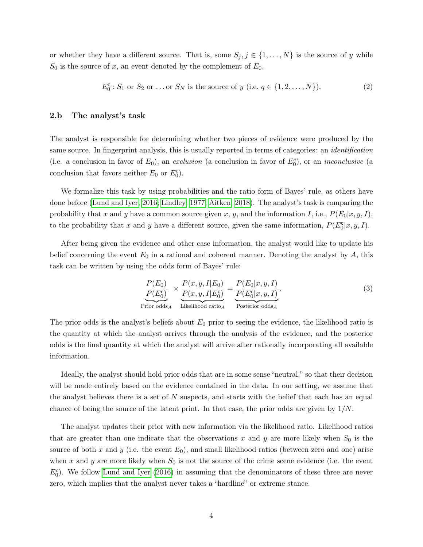or whether they have a different source. That is, some  $S_j, j \in \{1, ..., N\}$  is the source of y while  $S_0$  is the source of x, an event denoted by the complement of  $E_0$ ,

$$
E_0^c
$$
:  $S_1$  or  $S_2$  or ... or  $S_N$  is the source of y (i.e.  $q \in \{1, 2, ..., N\}$ ). (2)

### 2.b The analyst's task

The analyst is responsible for determining whether two pieces of evidence were produced by the same source. In fingerprint analysis, this is usually reported in terms of categories: an identification (i.e. a conclusion in favor of  $E_0$ ), an exclusion (a conclusion in favor of  $E_0^c$ ), or an *inconclusive* (a conclusion that favors neither  $E_0$  or  $E_0^c$ ).

We formalize this task by using probabilities and the ratio form of Bayes' rule, as others have done before [\(Lund and Iyer, 2016;](#page-28-3) [Lindley, 1977;](#page-28-4) [Aitken, 2018\)](#page-28-2). The analyst's task is comparing the probability that x and y have a common source given x, y, and the information I, i.e.,  $P(E_0|x, y, I)$ , to the probability that x and y have a different source, given the same information,  $P(E_0^{\mathsf{c}} | x, y, I)$ .

After being given the evidence and other case information, the analyst would like to update his belief concerning the event  $E_0$  in a rational and coherent manner. Denoting the analyst by A, this task can be written by using the odds form of Bayes' rule:

$$
\underbrace{\frac{P(E_0)}{P(E_0^c)}}_{\text{Prior odds}_A} \times \underbrace{\frac{P(x, y, I | E_0)}{P(x, y, I | E_0^c)}}_{\text{Likelihood ratio}_A} = \underbrace{\frac{P(E_0 | x, y, I)}{P(E_0^c | x, y, I)}}_{\text{Posterior odds}_A}.
$$
\n(3)

The prior odds is the analyst's beliefs about  $E_0$  prior to seeing the evidence, the likelihood ratio is the quantity at which the analyst arrives through the analysis of the evidence, and the posterior odds is the final quantity at which the analyst will arrive after rationally incorporating all available information.

Ideally, the analyst should hold prior odds that are in some sense "neutral," so that their decision will be made entirely based on the evidence contained in the data. In our setting, we assume that the analyst believes there is a set of  $N$  suspects, and starts with the belief that each has an equal chance of being the source of the latent print. In that case, the prior odds are given by  $1/N$ .

The analyst updates their prior with new information via the likelihood ratio. Likelihood ratios that are greater than one indicate that the observations x and y are more likely when  $S_0$  is the source of both x and y (i.e. the event  $E_0$ ), and small likelihood ratios (between zero and one) arise when x and y are more likely when  $S_0$  is not the source of the crime scene evidence (i.e. the event  $E_0^c$ ). We follow [Lund and Iyer](#page-28-3) [\(2016\)](#page-28-3) in assuming that the denominators of these three are never zero, which implies that the analyst never takes a "hardline" or extreme stance.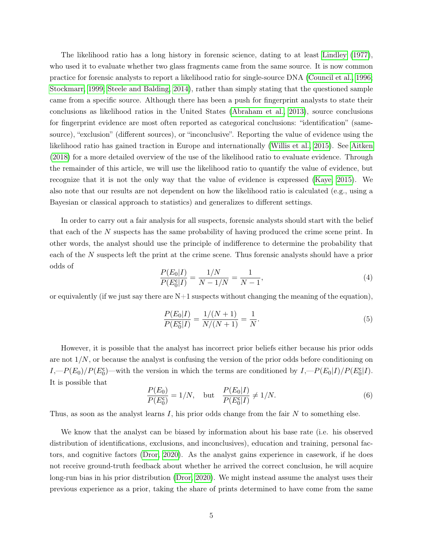The likelihood ratio has a long history in forensic science, dating to at least [Lindley](#page-28-4) [\(1977\)](#page-28-4), who used it to evaluate whether two glass fragments came from the same source. It is now common practice for forensic analysts to report a likelihood ratio for single-source DNA [\(Council et al., 1996;](#page-28-5) [Stockmarr, 1999;](#page-29-5) [Steele and Balding, 2014\)](#page-29-6), rather than simply stating that the questioned sample came from a specific source. Although there has been a push for fingerprint analysts to state their conclusions as likelihood ratios in the United States [\(Abraham et al., 2013\)](#page-28-6), source conclusions for fingerprint evidence are most often reported as categorical conclusions: "identification" (samesource), "exclusion" (different sources), or "inconclusive". Reporting the value of evidence using the likelihood ratio has gained traction in Europe and internationally [\(Willis et al., 2015\)](#page-29-7). See [Aitken](#page-28-2) [\(2018\)](#page-28-2) for a more detailed overview of the use of the likelihood ratio to evaluate evidence. Through the remainder of this article, we will use the likelihood ratio to quantify the value of evidence, but recognize that it is not the only way that the value of evidence is expressed [\(Kaye, 2015\)](#page-28-7). We also note that our results are not dependent on how the likelihood ratio is calculated (e.g., using a Bayesian or classical approach to statistics) and generalizes to different settings.

In order to carry out a fair analysis for all suspects, forensic analysts should start with the belief that each of the N suspects has the same probability of having produced the crime scene print. In other words, the analyst should use the principle of indifference to determine the probability that each of the N suspects left the print at the crime scene. Thus forensic analysts should have a prior odds of

$$
\frac{P(E_0|I)}{P(E_0^c|I)} = \frac{1/N}{N - 1/N} = \frac{1}{N - 1},\tag{4}
$$

or equivalently (if we just say there are  $N+1$  suspects without changing the meaning of the equation),

$$
\frac{P(E_0|I)}{P(E_0^c|I)} = \frac{1/(N+1)}{N/(N+1)} = \frac{1}{N}.
$$
\n(5)

However, it is possible that the analyst has incorrect prior beliefs either because his prior odds are not  $1/N$ , or because the analyst is confusing the version of the prior odds before conditioning on  $I, P(E_0)/P(E_0^c)$ —with the version in which the terms are conditioned by  $I, P(E_0|I)/P(E_0^c|I)$ . It is possible that

$$
\frac{P(E_0)}{P(E_0^c)} = 1/N, \quad \text{but} \quad \frac{P(E_0|I)}{P(E_0^c|I)} \neq 1/N. \tag{6}
$$

Thus, as soon as the analyst learns  $I$ , his prior odds change from the fair  $N$  to something else.

We know that the analyst can be biased by information about his base rate (i.e. his observed distribution of identifications, exclusions, and inconclusives), education and training, personal factors, and cognitive factors [\(Dror, 2020\)](#page-28-8). As the analyst gains experience in casework, if he does not receive ground-truth feedback about whether he arrived the correct conclusion, he will acquire long-run bias in his prior distribution [\(Dror, 2020\)](#page-28-8). We might instead assume the analyst uses their previous experience as a prior, taking the share of prints determined to have come from the same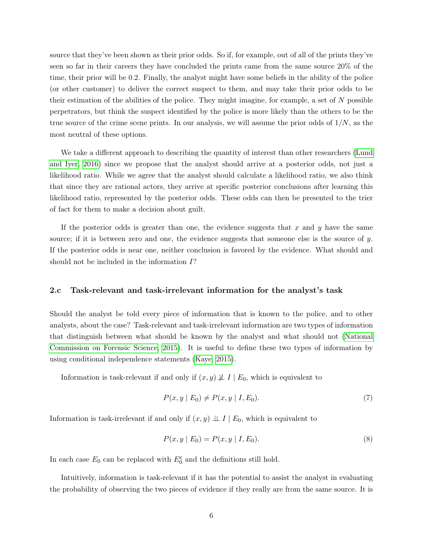source that they've been shown as their prior odds. So if, for example, out of all of the prints they've seen so far in their careers they have concluded the prints came from the same source 20% of the time, their prior will be 0.2. Finally, the analyst might have some beliefs in the ability of the police (or other customer) to deliver the correct suspect to them, and may take their prior odds to be their estimation of the abilities of the police. They might imagine, for example, a set of  $N$  possible perpetrators, but think the suspect identified by the police is more likely than the others to be the true source of the crime scene prints. In our analysis, we will assume the prior odds of  $1/N$ , as the most neutral of these options.

We take a different approach to describing the quantity of interest than other researchers [\(Lund](#page-28-3) [and Iyer, 2016\)](#page-28-3) since we propose that the analyst should arrive at a posterior odds, not just a likelihood ratio. While we agree that the analyst should calculate a likelihood ratio, we also think that since they are rational actors, they arrive at specific posterior conclusions after learning this likelihood ratio, represented by the posterior odds. These odds can then be presented to the trier of fact for them to make a decision about guilt.

If the posterior odds is greater than one, the evidence suggests that  $x$  and  $y$  have the same source; if it is between zero and one, the evidence suggests that someone else is the source of  $y$ . If the posterior odds is near one, neither conclusion is favored by the evidence. What should and should not be included in the information I?

#### 2.c Task-relevant and task-irrelevant information for the analyst's task

Should the analyst be told every piece of information that is known to the police, and to other analysts, about the case? Task-relevant and task-irrelevant information are two types of information that distinguish between what should be known by the analyst and what should not [\(National](#page-28-9) [Commission on Forensic Science, 2015\)](#page-28-9). It is useful to define these two types of information by using conditional independence statements [\(Kaye, 2015\)](#page-28-7).

Information is task-relevant if and only if  $(x, y) \not\perp I \mid E_0$ , which is equivalent to

$$
P(x, y \mid E_0) \neq P(x, y \mid I, E_0). \tag{7}
$$

Information is task-irrelevant if and only if  $(x, y) \perp I \mid E_0$ , which is equivalent to

$$
P(x, y \mid E_0) = P(x, y \mid I, E_0). \tag{8}
$$

In each case  $E_0$  can be replaced with  $E_0^c$  and the definitions still hold.

Intuitively, information is task-relevant if it has the potential to assist the analyst in evaluating the probability of observing the two pieces of evidence if they really are from the same source. It is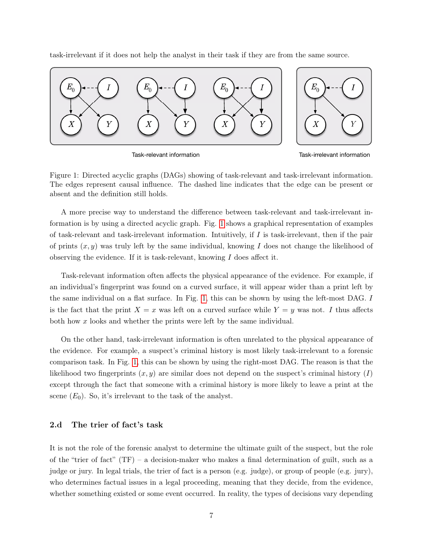task-irrelevant if it does not help the analyst in their task if they are from the same source.



Task-relevant information

Task-irrelevant information

<span id="page-6-0"></span>Figure 1: Directed acyclic graphs (DAGs) showing of task-relevant and task-irrelevant information. The edges represent causal influence. The dashed line indicates that the edge can be present or absent and the definition still holds.

A more precise way to understand the difference between task-relevant and task-irrelevant information is by using a directed acyclic graph. Fig. [1](#page-6-0) shows a graphical representation of examples of task-relevant and task-irrelevant information. Intuitively, if  $I$  is task-irrelevant, then if the pair of prints  $(x, y)$  was truly left by the same individual, knowing I does not change the likelihood of observing the evidence. If it is task-relevant, knowing I does affect it.

Task-relevant information often affects the physical appearance of the evidence. For example, if an individual's fingerprint was found on a curved surface, it will appear wider than a print left by the same individual on a flat surface. In Fig. [1,](#page-6-0) this can be shown by using the left-most DAG. I is the fact that the print  $X = x$  was left on a curved surface while  $Y = y$  was not. I thus affects both how x looks and whether the prints were left by the same individual.

On the other hand, task-irrelevant information is often unrelated to the physical appearance of the evidence. For example, a suspect's criminal history is most likely task-irrelevant to a forensic comparison task. In Fig. [1,](#page-6-0) this can be shown by using the right-most DAG. The reason is that the likelihood two fingerprints  $(x, y)$  are similar does not depend on the suspect's criminal history  $(I)$ except through the fact that someone with a criminal history is more likely to leave a print at the scene  $(E_0)$ . So, it's irrelevant to the task of the analyst.

### 2.d The trier of fact's task

It is not the role of the forensic analyst to determine the ultimate guilt of the suspect, but the role of the "trier of fact"  $(TF)$  – a decision-maker who makes a final determination of guilt, such as a judge or jury. In legal trials, the trier of fact is a person (e.g. judge), or group of people (e.g. jury), who determines factual issues in a legal proceeding, meaning that they decide, from the evidence, whether something existed or some event occurred. In reality, the types of decisions vary depending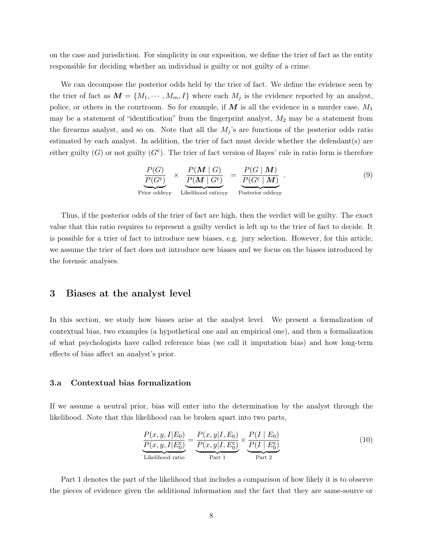on the case and jurisdiction. For simplicity in our exposition, we define the trier of fact as the entity responsible for deciding whether an individual is guilty or not guilty of a crime.

We can decompose the posterior odds held by the trier of fact. We define the evidence seen by the trier of fact as  $M = \{M_1, \dots, M_m, I\}$  where each  $M_j$  is the evidence reported by an analyst, police, or others in the courtroom. So for example, if  $M$  is all the evidence in a murder case,  $M_1$ may be a statement of "identification" from the fingerprint analyst,  $M_2$  may be a statement from the firearms analyst, and so on. Note that all the  $M_j$ 's are functions of the posterior odds ratio estimated by each analyst. In addition, the trier of fact must decide whether the defendant(s) are either guilty  $(G)$  or not guilty  $(G<sup>c</sup>)$ . The trier of fact version of Bayes' rule in ratio form is therefore

$$
\frac{P(G)}{P(G^{c})} \times \underbrace{\frac{P(M \mid G)}{P(M \mid G^{c})}}_{\text{Prior odds}_{\text{TF}}} = \underbrace{\frac{P(G \mid M)}{P(G^{c} \mid M)}}_{\text{Posterior odds}_{\text{TF}}}.
$$
\n(9)

Thus, if the posterior odds of the trier of fact are high, then the verdict will be guilty. The exact value that this ratio requires to represent a guilty verdict is left up to the trier of fact to decide. It is possible for a trier of fact to introduce new biases, e.g. jury selection. However, for this article, we assume the trier of fact does not introduce new biases and we focus on the biases introduced by the forensic analyses.

### <span id="page-7-1"></span>3 Biases at the analyst level

In this section, we study how biases arise at the analyst level. We present a formalization of contextual bias, two examples (a hypothetical one and an empirical one), and then a formalization of what psychologists have called reference bias (we call it imputation bias) and how long-term effects of bias affect an analyst's prior.

#### 3.a Contextual bias formalization

If we assume a neutral prior, bias will enter into the determination by the analyst through the likelihood. Note that this likelihood can be broken apart into two parts,

<span id="page-7-0"></span>
$$
\frac{P(x, y, I|E_0)}{P(x, y, I|E_0^c)} = \frac{P(x, y|I, E_0)}{P(x, y|I, E_0^c)} \times \frac{P(I | E_0)}{P(I | E_0^c)}
$$
\nLikelihood ratio

\n
$$
\frac{P(x, y, I|E_0^c)}{P(\text{art 1})} \times \frac{P(I | E_0)}{P(\text{art 2})}
$$
\n(10)

Part 1 denotes the part of the likelihood that includes a comparison of how likely it is to observe the pieces of evidence given the additional information and the fact that they are same-source or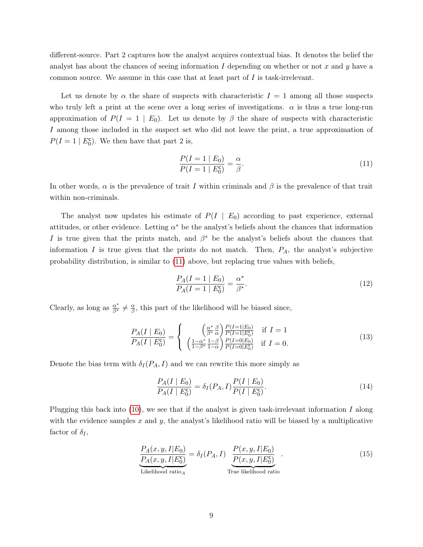different-source. Part 2 captures how the analyst acquires contextual bias. It denotes the belief the analyst has about the chances of seeing information  $I$  depending on whether or not  $x$  and  $y$  have a common source. We assume in this case that at least part of I is task-irrelevant.

Let us denote by  $\alpha$  the share of suspects with characteristic  $I = 1$  among all those suspects who truly left a print at the scene over a long series of investigations.  $\alpha$  is thus a true long-run approximation of  $P(I = 1 | E_0)$ . Let us denote by  $\beta$  the share of suspects with characteristic I among those included in the suspect set who did not leave the print, a true approximation of  $P(I = 1 | E_0^c)$ . We then have that part 2 is,

<span id="page-8-0"></span>
$$
\frac{P(I = 1 \mid E_0)}{P(I = 1 \mid E_0^c)} = \frac{\alpha}{\beta}.
$$
\n(11)

In other words,  $\alpha$  is the prevalence of trait I within criminals and  $\beta$  is the prevalence of that trait within non-criminals.

The analyst now updates his estimate of  $P(I | E_0)$  according to past experience, external attitudes, or other evidence. Letting  $\alpha^*$  be the analyst's beliefs about the chances that information I is true given that the prints match, and  $\beta^*$  be the analyst's beliefs about the chances that information I is true given that the prints do not match. Then,  $P_A$ , the analyst's subjective probability distribution, is similar to [\(11\)](#page-8-0) above, but replacing true values with beliefs,

$$
\frac{P_A(I=1 \mid E_0)}{P_A(I=1 \mid E_0^c)} = \frac{\alpha^*}{\beta^*}.
$$
\n(12)

Clearly, as long as  $\frac{\alpha^*}{\beta^*} \neq \frac{\alpha}{\beta}$  $\frac{\alpha}{\beta}$ , this part of the likelihood will be biased since,

$$
\frac{P_A(I \mid E_0)}{P_A(I \mid E_0^c)} = \begin{cases} \begin{array}{c} \left(\frac{\alpha^*}{\beta^*} \frac{\beta}{\alpha}\right) \frac{P(I=1 \mid E_0)}{P(I=1 \mid E_0^c)} & \text{if } I = 1\\ \left(\frac{1-\alpha^*}{1-\beta^*} \frac{1-\beta}{1-\alpha}\right) \frac{P(I=0 \mid E_0)}{P(I=0 \mid E_0^c)} & \text{if } I = 0. \end{array} \end{cases}
$$
\n(13)

Denote the bias term with  $\delta_I(P_A, I)$  and we can rewrite this more simply as

<span id="page-8-1"></span>
$$
\frac{P_A(I \mid E_0)}{P_A(I \mid E_0^c)} = \delta_I(P_A, I) \frac{P(I \mid E_0)}{P(I \mid E_0^c)}.
$$
\n(14)

Plugging this back into  $(10)$ , we see that if the analyst is given task-irrelevant information I along with the evidence samples  $x$  and  $y$ , the analyst's likelihood ratio will be biased by a multiplicative factor of  $\delta_I$ ,

$$
\frac{P_A(x, y, I|E_0)}{P_A(x, y, I|E_0^c)} = \delta_I(P_A, I) \underbrace{\frac{P(x, y, I|E_0)}{P(x, y, I|E_0^c)}}_{\text{True likelihood ratio}}.
$$
\n(15)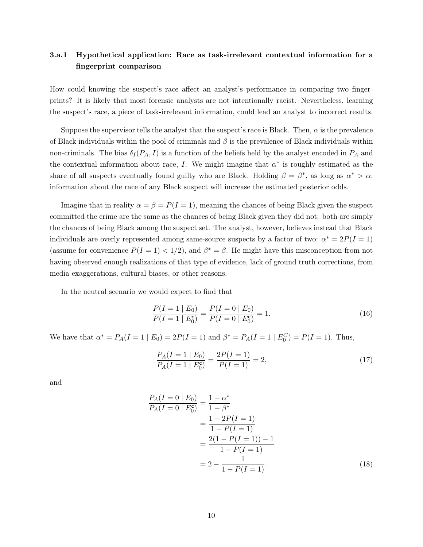### <span id="page-9-0"></span>3.a.1 Hypothetical application: Race as task-irrelevant contextual information for a fingerprint comparison

How could knowing the suspect's race affect an analyst's performance in comparing two fingerprints? It is likely that most forensic analysts are not intentionally racist. Nevertheless, learning the suspect's race, a piece of task-irrelevant information, could lead an analyst to incorrect results.

Suppose the supervisor tells the analyst that the suspect's race is Black. Then,  $\alpha$  is the prevalence of Black individuals within the pool of criminals and  $\beta$  is the prevalence of Black individuals within non-criminals. The bias  $\delta_I(P_A, I)$  is a function of the beliefs held by the analyst encoded in  $P_A$  and the contextual information about race, I. We might imagine that  $\alpha^*$  is roughly estimated as the share of all suspects eventually found guilty who are Black. Holding  $\beta = \beta^*$ , as long as  $\alpha^* > \alpha$ , information about the race of any Black suspect will increase the estimated posterior odds.

Imagine that in reality  $\alpha = \beta = P(I = 1)$ , meaning the chances of being Black given the suspect committed the crime are the same as the chances of being Black given they did not: both are simply the chances of being Black among the suspect set. The analyst, however, believes instead that Black individuals are overly represented among same-source suspects by a factor of two:  $\alpha^* = 2P(I = 1)$ (assume for convenience  $P(I = 1) < 1/2$ ), and  $\beta^* = \beta$ . He might have this misconception from not having observed enough realizations of that type of evidence, lack of ground truth corrections, from media exaggerations, cultural biases, or other reasons.

In the neutral scenario we would expect to find that

$$
\frac{P(I=1 \mid E_0)}{P(I=1 \mid E_0^c)} = \frac{P(I=0 \mid E_0)}{P(I=0 \mid E_0^c)} = 1.
$$
\n(16)

We have that  $\alpha^* = P_A(I = 1 | E_0) = 2P(I = 1)$  and  $\beta^* = P_A(I = 1 | E_0^C) = P(I = 1)$ . Thus,

$$
\frac{P_A(I=1 \mid E_0)}{P_A(I=1 \mid E_0^c)} = \frac{2P(I=1)}{P(I=1)} = 2,\tag{17}
$$

and

$$
\frac{P_A(I=0 \mid E_0)}{P_A(I=0 \mid E_0^c)} = \frac{1 - \alpha^*}{1 - \beta^*} \n= \frac{1 - 2P(I=1)}{1 - P(I=1)} \n= \frac{2(1 - P(I=1)) - 1}{1 - P(I=1)} \n= 2 - \frac{1}{1 - P(I=1)}.
$$
\n(18)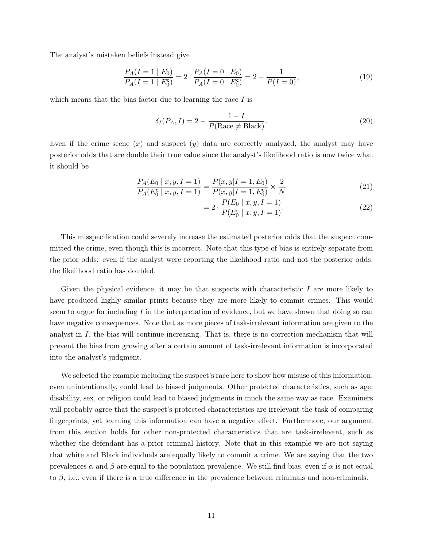The analyst's mistaken beliefs instead give

$$
\frac{P_A(I=1 \mid E_0)}{P_A(I=1 \mid E_0^c)} = 2 \cdot \frac{P_A(I=0 \mid E_0)}{P_A(I=0 \mid E_0^c)} = 2 - \frac{1}{P(I=0)},\tag{19}
$$

which means that the bias factor due to learning the race  $I$  is

$$
\delta_I(P_A, I) = 2 - \frac{1 - I}{P(\text{Race} \neq \text{Black})}.
$$
\n(20)

Even if the crime scene  $(x)$  and suspect  $(y)$  data are correctly analyzed, the analyst may have posterior odds that are double their true value since the analyst's likelihood ratio is now twice what it should be

$$
\frac{P_A(E_0 \mid x, y, I = 1)}{P_A(E_0^c \mid x, y, I = 1)} = \frac{P(x, y | I = 1, E_0)}{P(x, y | I = 1, E_0^c)} \times \frac{2}{N}
$$
\n(21)

$$
= 2 \cdot \frac{P(E_0 \mid x, y, I = 1)}{P(E_0^c \mid x, y, I = 1)}.
$$
\n(22)

This misspecification could severely increase the estimated posterior odds that the suspect committed the crime, even though this is incorrect. Note that this type of bias is entirely separate from the prior odds: even if the analyst were reporting the likelihood ratio and not the posterior odds, the likelihood ratio has doubled.

Given the physical evidence, it may be that suspects with characteristic  $I$  are more likely to have produced highly similar prints because they are more likely to commit crimes. This would seem to argue for including  $I$  in the interpretation of evidence, but we have shown that doing so can have negative consequences. Note that as more pieces of task-irrelevant information are given to the analyst in  $I$ , the bias will continue increasing. That is, there is no correction mechanism that will prevent the bias from growing after a certain amount of task-irrelevant information is incorporated into the analyst's judgment.

We selected the example including the suspect's race here to show how misuse of this information, even unintentionally, could lead to biased judgments. Other protected characteristics, such as age, disability, sex, or religion could lead to biased judgments in much the same way as race. Examiners will probably agree that the suspect's protected characteristics are irrelevant the task of comparing fingerprints, yet learning this information can have a negative effect. Furthermore, our argument from this section holds for other non-protected characteristics that are task-irrelevant, such as whether the defendant has a prior criminal history. Note that in this example we are not saying that white and Black individuals are equally likely to commit a crime. We are saying that the two prevalences  $\alpha$  and  $\beta$  are equal to the population prevalence. We still find bias, even if  $\alpha$  is not equal to  $\beta$ , i.e., even if there is a true difference in the prevalence between criminals and non-criminals.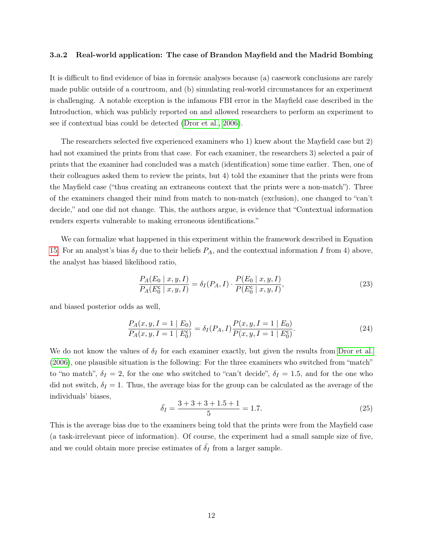#### 3.a.2 Real-world application: The case of Brandon Mayfield and the Madrid Bombing

It is difficult to find evidence of bias in forensic analyses because (a) casework conclusions are rarely made public outside of a courtroom, and (b) simulating real-world circumstances for an experiment is challenging. A notable exception is the infamous FBI error in the Mayfield case described in the Introduction, which was publicly reported on and allowed researchers to perform an experiment to see if contextual bias could be detected [\(Dror et al., 2006\)](#page-28-0).

The researchers selected five experienced examiners who 1) knew about the Mayfield case but 2) had not examined the prints from that case. For each examiner, the researchers 3) selected a pair of prints that the examiner had concluded was a match (identification) some time earlier. Then, one of their colleagues asked them to review the prints, but 4) told the examiner that the prints were from the Mayfield case ("thus creating an extraneous context that the prints were a non-match"). Three of the examiners changed their mind from match to non-match (exclusion), one changed to "can't decide," and one did not change. This, the authors argue, is evidence that "Contextual information renders experts vulnerable to making erroneous identifications."

We can formalize what happened in this experiment within the framework described in Equation [15.](#page-8-1) For an analyst's bias  $\delta_I$  due to their beliefs  $P_A$ , and the contextual information I from 4) above, the analyst has biased likelihood ratio,

$$
\frac{P_A(E_0 \mid x, y, I)}{P_A(E_0^c \mid x, y, I)} = \delta_I(P_A, I) \cdot \frac{P(E_0 \mid x, y, I)}{P(E_0^c \mid x, y, I)},\tag{23}
$$

and biased posterior odds as well,

$$
\frac{P_A(x, y, I = 1 \mid E_0)}{P_A(x, y, I = 1 \mid E_0^c)} = \delta_I(P_A, I) \frac{P(x, y, I = 1 \mid E_0)}{P(x, y, I = 1 \mid E_0^c)}.
$$
\n(24)

We do not know the values of  $\delta_I$  for each examiner exactly, but given the results from [Dror et al.](#page-28-0) [\(2006\)](#page-28-0), one plausible situation is the following: For the three examiners who switched from "match" to "no match",  $\delta_I = 2$ , for the one who switched to "can't decide",  $\delta_I = 1.5$ , and for the one who did not switch,  $\delta_I = 1$ . Thus, the average bias for the group can be calculated as the average of the individuals' biases,

$$
\bar{\delta}_I = \frac{3+3+3+1.5+1}{5} = 1.7. \tag{25}
$$

This is the average bias due to the examiners being told that the prints were from the Mayfield case (a task-irrelevant piece of information). Of course, the experiment had a small sample size of five, and we could obtain more precise estimates of  $\overline{\delta}_I$  from a larger sample.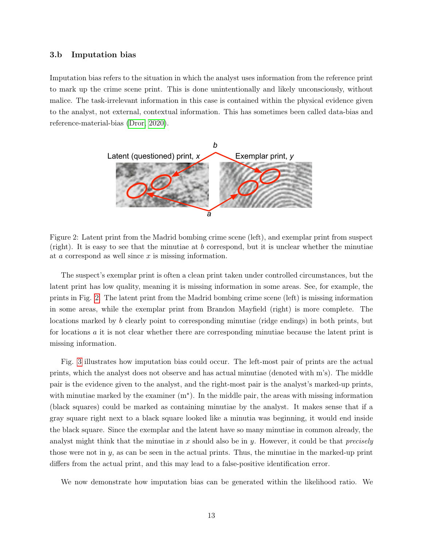### 3.b Imputation bias

Imputation bias refers to the situation in which the analyst uses information from the reference print to mark up the crime scene print. This is done unintentionally and likely unconsciously, without malice. The task-irrelevant information in this case is contained within the physical evidence given to the analyst, not external, contextual information. This has sometimes been called data-bias and reference-material-bias [\(Dror, 2020\)](#page-28-8).



<span id="page-12-0"></span>Figure 2: Latent print from the Madrid bombing crime scene (left), and exemplar print from suspect (right). It is easy to see that the minutiae at b correspond, but it is unclear whether the minutiae at a correspond as well since x is missing information.

The suspect's exemplar print is often a clean print taken under controlled circumstances, but the latent print has low quality, meaning it is missing information in some areas. See, for example, the prints in Fig. [2.](#page-12-0) The latent print from the Madrid bombing crime scene (left) is missing information in some areas, while the exemplar print from Brandon Mayfield (right) is more complete. The locations marked by b clearly point to corresponding minutiae (ridge endings) in both prints, but for locations a it is not clear whether there are corresponding minutiae because the latent print is missing information.

Fig. [3](#page-13-0) illustrates how imputation bias could occur. The left-most pair of prints are the actual prints, which the analyst does not observe and has actual minutiae (denoted with m's). The middle pair is the evidence given to the analyst, and the right-most pair is the analyst's marked-up prints, with minutiae marked by the examiner (m<sup>∗</sup> ). In the middle pair, the areas with missing information (black squares) could be marked as containing minutiae by the analyst. It makes sense that if a gray square right next to a black square looked like a minutia was beginning, it would end inside the black square. Since the exemplar and the latent have so many minutiae in common already, the analyst might think that the minutiae in x should also be in y. However, it could be that precisely those were not in  $y$ , as can be seen in the actual prints. Thus, the minutiae in the marked-up print differs from the actual print, and this may lead to a false-positive identification error.

We now demonstrate how imputation bias can be generated within the likelihood ratio. We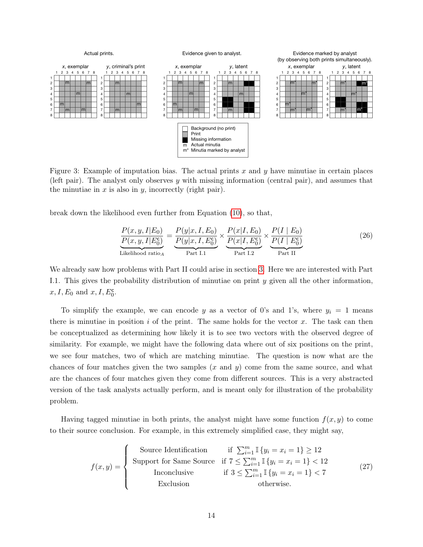

<span id="page-13-0"></span>Figure 3: Example of imputation bias. The actual prints x and y have minutiae in certain places (left pair). The analyst only observes y with missing information (central pair), and assumes that the minutiae in  $x$  is also in  $y$ , incorrectly (right pair).

break down the likelihood even further from Equation [\(10\)](#page-7-0), so that,

$$
\frac{P(x, y, I|E_0)}{P(x, y, I|E_0^c)} = \frac{P(y|x, I, E_0)}{P(y|x, I, E_0^c)} \times \underbrace{\frac{P(x|I, E_0)}{P(x|I, E_0^c)}}_{\text{Part I.2}} \times \underbrace{\frac{P(I | E_0)}{P(I | E_0^c)}}_{\text{Part II}} \tag{26}
$$

We already saw how problems with Part II could arise in section [3.](#page-7-1) Here we are interested with Part I.1. This gives the probability distribution of minutiae on print y given all the other information,  $x, I, E_0$  and  $x, I, E_0^{\mathsf{c}}$ .

To simplify the example, we can encode y as a vector of 0's and 1's, where  $y_i = 1$  means there is minutiae in position i of the print. The same holds for the vector x. The task can then be conceptualized as determining how likely it is to see two vectors with the observed degree of similarity. For example, we might have the following data where out of six positions on the print, we see four matches, two of which are matching minutiae. The question is now what are the chances of four matches given the two samples  $(x \text{ and } y)$  come from the same source, and what are the chances of four matches given they come from different sources. This is a very abstracted version of the task analysts actually perform, and is meant only for illustration of the probability problem.

Having tagged minutiae in both prints, the analyst might have some function  $f(x, y)$  to come to their source conclusion. For example, in this extremely simplified case, they might say,

$$
f(x,y) = \begin{cases} \text{Source Identification} & \text{if } \sum_{i=1}^{m} \mathbb{I}\{y_i = x_i = 1\} \ge 12\\ \text{Support for Same Source} & \text{if } 7 \le \sum_{i=1}^{m} \mathbb{I}\{y_i = x_i = 1\} < 12\\ \text{Inconclusive} & \text{if } 3 \le \sum_{i=1}^{m} \mathbb{I}\{y_i = x_i = 1\} < 7\\ \text{Exclusion} & \text{otherwise.} \end{cases} \tag{27}
$$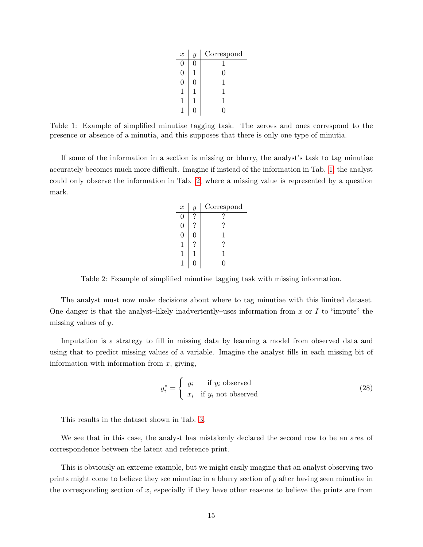| $\boldsymbol{x}$ | $\overline{y}$ | Correspond |
|------------------|----------------|------------|
| 0                | J              |            |
| 0                |                | 0          |
| 0                | 1              | 1          |
| 1                |                | 1          |
| 1                |                | 1          |
|                  |                |            |

<span id="page-14-0"></span>Table 1: Example of simplified minutiae tagging task. The zeroes and ones correspond to the presence or absence of a minutia, and this supposes that there is only one type of minutia.

If some of the information in a section is missing or blurry, the analyst's task to tag minutiae accurately becomes much more difficult. Imagine if instead of the information in Tab. [1,](#page-14-0) the analyst could only observe the information in Tab. [2,](#page-14-1) where a missing value is represented by a question mark.

| $\boldsymbol{x}$ | $\overline{y}$ | Correspond |
|------------------|----------------|------------|
|                  |                |            |
|                  |                |            |
| 0                | 0              |            |
| 1                |                |            |
| 1                |                |            |
|                  |                |            |

<span id="page-14-1"></span>Table 2: Example of simplified minutiae tagging task with missing information.

The analyst must now make decisions about where to tag minutiae with this limited dataset. One danger is that the analyst–likely inadvertently–uses information from x or I to "impute" the missing values of y.

Imputation is a strategy to fill in missing data by learning a model from observed data and using that to predict missing values of a variable. Imagine the analyst fills in each missing bit of information with information from  $x$ , giving,

$$
y_i^* = \begin{cases} y_i & \text{if } y_i \text{ observed} \\ x_i & \text{if } y_i \text{ not observed} \end{cases}
$$
 (28)

This results in the dataset shown in Tab. [3.](#page-15-0)

We see that in this case, the analyst has mistakenly declared the second row to be an area of correspondence between the latent and reference print.

This is obviously an extreme example, but we might easily imagine that an analyst observing two prints might come to believe they see minutiae in a blurry section of y after having seen minutiae in the corresponding section of x, especially if they have other reasons to believe the prints are from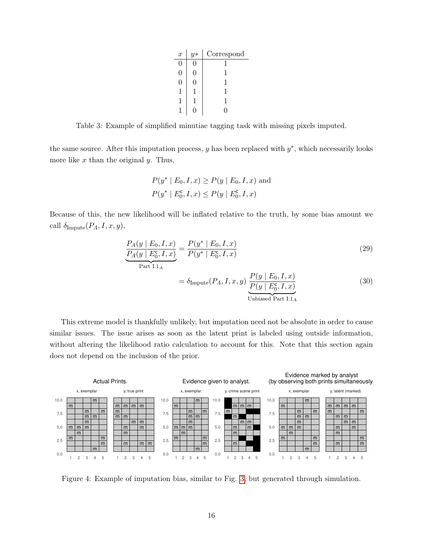| $\boldsymbol{x}$ | $y*$ | Correspond |
|------------------|------|------------|
|                  |      |            |
|                  |      |            |
| H                |      | 1          |
|                  |      | 1          |
|                  |      |            |
|                  |      |            |

<span id="page-15-0"></span>Table 3: Example of simplified minutiae tagging task with missing pixels imputed.

the same source. After this imputation process,  $y$  has been replaced with  $y^*$ , which necessarily looks more like  $x$  than the original  $y$ . Thus,

$$
P(y^* | E_0, I, x) \ge P(y | E_0, I, x)
$$
 and  

$$
P(y^* | E_0^c, I, x) \le P(y | E_0^c, I, x)
$$

Because of this, the new likelihood will be inflated relative to the truth, by some bias amount we call  $\delta_{\text{Impute}}(P_A, I, x, y)$ ,

$$
\frac{P_A(y \mid E_0, I, x)}{P_A(y \mid E_0^c, I, x)} = \frac{P(y^* \mid E_0, I, x)}{P(y^* \mid E_0^c, I, x)}
$$
(29)

$$
= \delta_{\text{Impute}}(P_A, I, x, y) \underbrace{\frac{P(y \mid E_0, I, x)}{P(y \mid E_0^c, I, x)}}_{\text{Unbiased Part I.1}_A} \tag{30}
$$

This extreme model is thankfully unlikely, but imputation need not be absolute in order to cause similar issues. The issue arises as soon as the latent print is labeled using outside information, without altering the likelihood ratio calculation to account for this. Note that this section again does not depend on the inclusion of the prior.



<span id="page-15-1"></span>Figure 4: Example of imputation bias, similar to Fig. [3,](#page-13-0) but generated through simulation.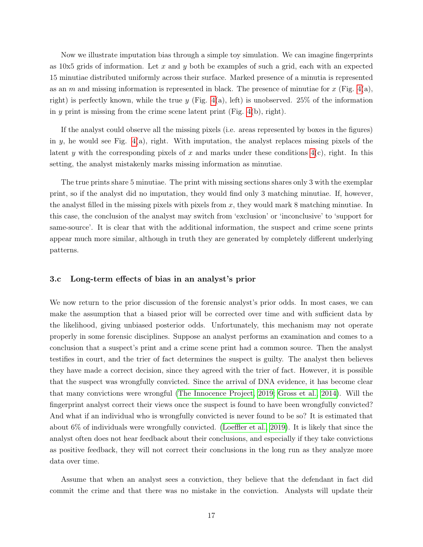Now we illustrate imputation bias through a simple toy simulation. We can imagine fingerprints as  $10x5$  grids of information. Let x and y both be examples of such a grid, each with an expected 15 minutiae distributed uniformly across their surface. Marked presence of a minutia is represented as an m and missing information is represented in black. The presence of minutiae for x (Fig.  $4(a)$ , right) is perfectly known, while the true y (Fig. [4\(](#page-15-1)a), left) is unobserved. 25% of the information in y print is missing from the crime scene latent print (Fig.  $4(b)$ , right).

If the analyst could observe all the missing pixels (i.e. areas represented by boxes in the figures) in y, he would see Fig.  $4(a)$ , right. With imputation, the analyst replaces missing pixels of the latent y with the corresponding pixels of x and marks under these conditions  $4(c)$ , right. In this setting, the analyst mistakenly marks missing information as minutiae.

The true prints share 5 minutiae. The print with missing sections shares only 3 with the exemplar print, so if the analyst did no imputation, they would find only 3 matching minutiae. If, however, the analyst filled in the missing pixels with pixels from  $x$ , they would mark 8 matching minutiae. In this case, the conclusion of the analyst may switch from 'exclusion' or 'inconclusive' to 'support for same-source'. It is clear that with the additional information, the suspect and crime scene prints appear much more similar, although in truth they are generated by completely different underlying patterns.

### 3.c Long-term effects of bias in an analyst's prior

We now return to the prior discussion of the forensic analyst's prior odds. In most cases, we can make the assumption that a biased prior will be corrected over time and with sufficient data by the likelihood, giving unbiased posterior odds. Unfortunately, this mechanism may not operate properly in some forensic disciplines. Suppose an analyst performs an examination and comes to a conclusion that a suspect's print and a crime scene print had a common source. Then the analyst testifies in court, and the trier of fact determines the suspect is guilty. The analyst then believes they have made a correct decision, since they agreed with the trier of fact. However, it is possible that the suspect was wrongfully convicted. Since the arrival of DNA evidence, it has become clear that many convictions were wrongful [\(The Innocence Project, 2019;](#page-29-8) [Gross et al., 2014\)](#page-28-10). Will the fingerprint analyst correct their views once the suspect is found to have been wrongfully convicted? And what if an individual who is wrongfully convicted is never found to be so? It is estimated that about 6% of individuals were wrongfully convicted. [\(Loeffler et al., 2019\)](#page-28-11). It is likely that since the analyst often does not hear feedback about their conclusions, and especially if they take convictions as positive feedback, they will not correct their conclusions in the long run as they analyze more data over time.

Assume that when an analyst sees a conviction, they believe that the defendant in fact did commit the crime and that there was no mistake in the conviction. Analysts will update their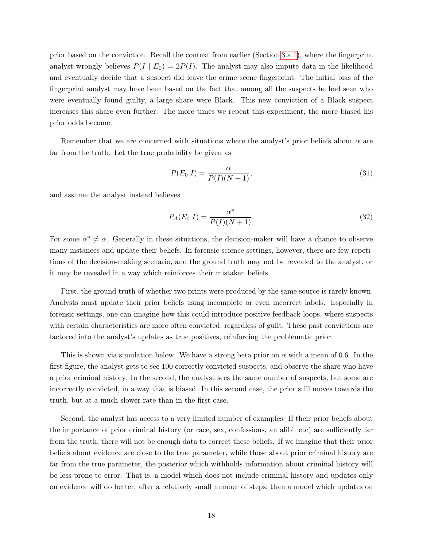prior based on the conviction. Recall the context from earlier (Section [3.a.1\)](#page-9-0), where the fingerprint analyst wrongly believes  $P(I | E_0) = 2P(I)$ . The analyst may also impute data in the likelihood and eventually decide that a suspect did leave the crime scene fingerprint. The initial bias of the fingerprint analyst may have been based on the fact that among all the suspects he had seen who were eventually found guilty, a large share were Black. This new conviction of a Black suspect increases this share even further. The more times we repeat this experiment, the more biased his prior odds become.

Remember that we are concerned with situations where the analyst's prior beliefs about  $\alpha$  are far from the truth. Let the true probability be given as

$$
P(E_0|I) = \frac{\alpha}{P(I)(N+1)},\tag{31}
$$

and assume the analyst instead believes

$$
P_A(E_0|I) = \frac{\alpha^*}{P(I)(N+1)}.
$$
\n(32)

For some  $\alpha^* \neq \alpha$ . Generally in these situations, the decision-maker will have a chance to observe many instances and update their beliefs. In forensic science settings, however, there are few repetitions of the decision-making scenario, and the ground truth may not be revealed to the analyst, or it may be revealed in a way which reinforces their mistaken beliefs.

First, the ground truth of whether two prints were produced by the same source is rarely known. Analysts must update their prior beliefs using incomplete or even incorrect labels. Especially in forensic settings, one can imagine how this could introduce positive feedback loops, where suspects with certain characteristics are more often convicted, regardless of guilt. These past convictions are factored into the analyst's updates as true positives, reinforcing the problematic prior.

This is shown via simulation below. We have a strong beta prior on  $\alpha$  with a mean of 0.6. In the first figure, the analyst gets to see 100 correctly convicted suspects, and observe the share who have a prior criminal history. In the second, the analyst sees the same number of suspects, but some are incorrectly convicted, in a way that is biased. In this second case, the prior still moves towards the truth, but at a much slower rate than in the first case.

Second, the analyst has access to a very limited number of examples. If their prior beliefs about the importance of prior criminal history (or race, sex, confessions, an alibi, etc) are sufficiently far from the truth, there will not be enough data to correct these beliefs. If we imagine that their prior beliefs about evidence are close to the true parameter, while those about prior criminal history are far from the true parameter, the posterior which withholds information about criminal history will be less prone to error. That is, a model which does not include criminal history and updates only on evidence will do better, after a relatively small number of steps, than a model which updates on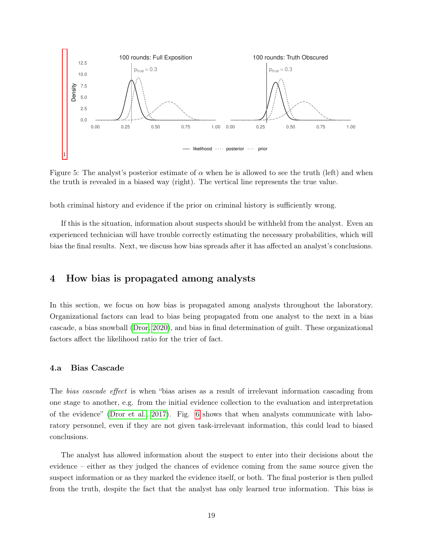

Figure 5: The analyst's posterior estimate of  $\alpha$  when he is allowed to see the truth (left) and when the truth is revealed in a biased way (right). The vertical line represents the true value.

both criminal history and evidence if the prior on criminal history is sufficiently wrong.

If this is the situation, information about suspects should be withheld from the analyst. Even an experienced technician will have trouble correctly estimating the necessary probabilities, which will bias the final results. Next, we discuss how bias spreads after it has affected an analyst's conclusions.

### 4 How bias is propagated among analysts

In this section, we focus on how bias is propagated among analysts throughout the laboratory. Organizational factors can lead to bias being propagated from one analyst to the next in a bias cascade, a bias snowball [\(Dror, 2020\)](#page-28-8), and bias in final determination of guilt. These organizational factors affect the likelihood ratio for the trier of fact.

### 4.a Bias Cascade

The bias cascade effect is when "bias arises as a result of irrelevant information cascading from one stage to another, e.g. from the initial evidence collection to the evaluation and interpretation of the evidence" [\(Dror et al., 2017\)](#page-28-12). Fig. [6](#page-19-0) shows that when analysts communicate with laboratory personnel, even if they are not given task-irrelevant information, this could lead to biased conclusions.

The analyst has allowed information about the suspect to enter into their decisions about the evidence – either as they judged the chances of evidence coming from the same source given the suspect information or as they marked the evidence itself, or both. The final posterior is then pulled from the truth, despite the fact that the analyst has only learned true information. This bias is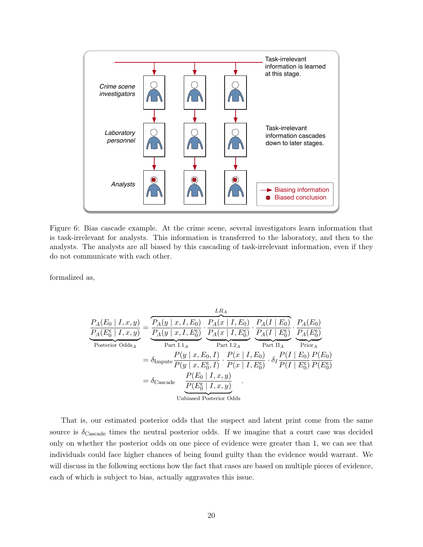

<span id="page-19-0"></span>Figure 6: Bias cascade example. At the crime scene, several investigators learn information that is task-irrelevant for analysts. This information is transferred to the laboratory, and then to the analysts. The analysts are all biased by this cascading of task-irrelevant information, even if they do not communicate with each other.

formalized as,

$$
\frac{P_A(E_0 | I, x, y)}{P_A(E_0^c | I, x, y)} = \frac{\overbrace{P_A(y | x, I, E_0)}^{LA(y | x, I, E_0)} \cdot \frac{P_A(x | I, E_0)}{P_A(x | I, E_0^c)} \cdot \frac{P_A(I | E_0)}{P_A(I | E_0^c)} \cdot \frac{P_A(E_0)}{P_A(E_0^c)}}{\overbrace{P_B(Y | x, E_0, I)}^{Part I.1_A}} \cdot \frac{P_A(T | E_0^c)}{P_{part I.2_A}} \cdot \frac{P_A(T | E_0^c)}{P_{part I.4}} \cdot \frac{P_A(E_0^c)}{P_{\text{prior}_A}}
$$
\n
$$
= \delta_{\text{Impute}} \frac{P(y | x, E_0, I)}{P(y | x, E_0^c, I)} \cdot \frac{P(x | I, E_0)}{P(x | I, E_0^c)} \cdot \delta_I \frac{P(I | E_0)}{P(I | E_0^c)} \frac{P(E_0)}{P(E_0^c)}
$$
\n
$$
= \delta_{\text{Cascade}} \frac{P(E_0 | I, x, y)}{P(E_0^c | I, x, y)}
$$
\nUnbiased Posterior Odds

That is, our estimated posterior odds that the suspect and latent print come from the same source is  $\delta_{\text{Cascade}}$  times the neutral posterior odds. If we imagine that a court case was decided only on whether the posterior odds on one piece of evidence were greater than 1, we can see that individuals could face higher chances of being found guilty than the evidence would warrant. We will discuss in the following sections how the fact that cases are based on multiple pieces of evidence, each of which is subject to bias, actually aggravates this issue.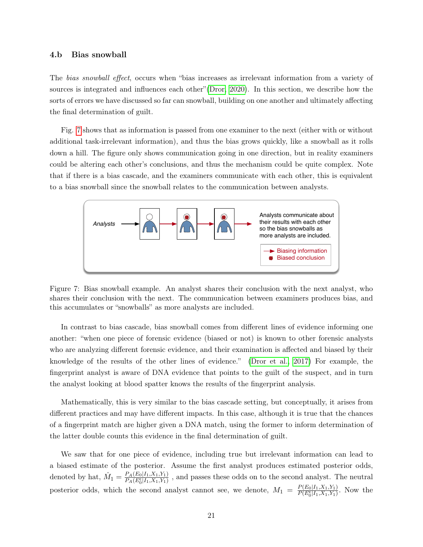#### 4.b Bias snowball

The bias snowball effect, occurs when "bias increases as irrelevant information from a variety of sources is integrated and influences each other"[\(Dror, 2020\)](#page-28-8). In this section, we describe how the sorts of errors we have discussed so far can snowball, building on one another and ultimately affecting the final determination of guilt.

Fig. [7](#page-20-0) shows that as information is passed from one examiner to the next (either with or without additional task-irrelevant information), and thus the bias grows quickly, like a snowball as it rolls down a hill. The figure only shows communication going in one direction, but in reality examiners could be altering each other's conclusions, and thus the mechanism could be quite complex. Note that if there is a bias cascade, and the examiners communicate with each other, this is equivalent to a bias snowball since the snowball relates to the communication between analysts.



<span id="page-20-0"></span>Figure 7: Bias snowball example. An analyst shares their conclusion with the next analyst, who shares their conclusion with the next. The communication between examiners produces bias, and this accumulates or "snowballs" as more analysts are included.

In contrast to bias cascade, bias snowball comes from different lines of evidence informing one another: "when one piece of forensic evidence (biased or not) is known to other forensic analysts who are analyzing different forensic evidence, and their examination is affected and biased by their knowledge of the results of the other lines of evidence." [\(Dror et al., 2017\)](#page-28-12) For example, the fingerprint analyst is aware of DNA evidence that points to the guilt of the suspect, and in turn the analyst looking at blood spatter knows the results of the fingerprint analysis.

Mathematically, this is very similar to the bias cascade setting, but conceptually, it arises from different practices and may have different impacts. In this case, although it is true that the chances of a fingerprint match are higher given a DNA match, using the former to inform determination of the latter double counts this evidence in the final determination of guilt.

We saw that for one piece of evidence, including true but irrelevant information can lead to a biased estimate of the posterior. Assume the first analyst produces estimated posterior odds, denoted by hat,  $\hat{M}_1 = \frac{P_A(E_0|I_1,X_1,Y_1)}{P_A(E_0|I_1,X_1,Y_1)}$  $\frac{P_A(E_0|I_1, X_1, Y_1)}{P_A(E_0^c|I_1, X_1, Y_1)}$ , and passes these odds on to the second analyst. The neutral posterior odds, which the second analyst cannot see, we denote,  $M_1 = \frac{P(E_0|I_1,X_1,Y_1)}{P(E_0|I_1,X_1,Y_1)}$  $\frac{P(E_0|I_1, X_1, Y_1)}{P(E_0^c|I_1, X_1, Y_1)}$ . Now the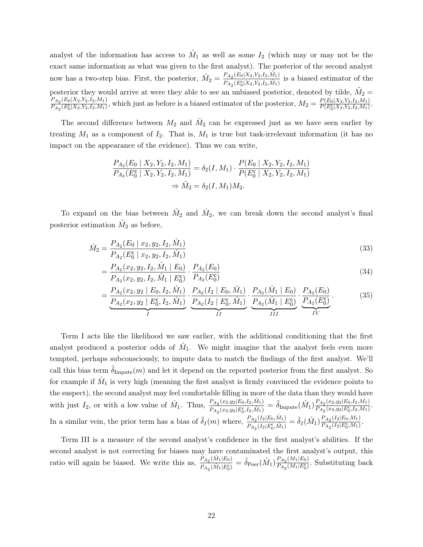analyst of the information has access to  $\hat{M}_1$  as well as some  $I_2$  (which may or may not be the exact same information as what was given to the first analyst). The posterior of the second analyst now has a two-step bias. First, the posterior,  $\hat{M}_2 = \frac{P_{A_2}(E_0|X_2,Y_2,I_2,\hat{M}_1)}{P_{A_2}(E_0|X_2,Y_2,I_2,\hat{M}_1)}$  $\frac{P_{A_2}(E_0|\Lambda_2, r_2, r_2, M_1)}{P_{A_2}(E_0^c|X_2, Y_2, I_2, M_1)}$  is a biased estimator of the posterior they would arrive at were they able to see an unbiased posterior, denoted by tilde,  $\tilde{M}_2 =$  $P_{A_2}(E_0|X_2,Y_2,I_2,M_1)$  $\frac{P_{A_2}(E_0|X_2,Y_2,I_2,M_1)}{P_{A_2}(E_0^c|X_2,Y_2,I_2,M_1)}$ , which just as before is a biased estimator of the posterior,  $M_2 = \frac{P(E_0|X_2,Y_2,I_2,M_1)}{P(E_0^c|X_2,Y_2,I_2,M_1)}$  $\frac{P(E_0|X_2,Y_2,I_2,M_1)}{P(E_0^c|X_2,Y_2,I_2,M_1)}$ .

The second difference between  $M_2$  and  $\tilde{M}_2$  can be expressed just as we have seen earlier by treating  $M_1$  as a component of  $I_2$ . That is,  $M_1$  is true but task-irrelevant information (it has no impact on the appearance of the evidence). Thus we can write,

$$
\frac{P_{A_2}(E_0 \mid X_2, Y_2, I_2, M_1)}{P_{A_2}(E_0^c \mid X_2, Y_2, I_2, M_1)} = \delta_2(I, M_1) \cdot \frac{P(E_0 \mid X_2, Y_2, I_2, M_1)}{P(E_0^c \mid X_2, Y_2, I_2, M_1)}
$$
  
\n
$$
\Rightarrow \tilde{M}_2 = \delta_2(I, M_1)M_2.
$$

To expand on the bias between  $\tilde{M}_2$  and  $\hat{M}_2$ , we can break down the second analyst's final posterior estimation  $\hat{M}_2$  as before,

$$
\hat{M}_2 = \frac{P_{A_2}(E_0 \mid x_2, y_2, I_2, \hat{M}_1)}{P_{A_2}(E_0^c \mid x_2, y_2, I_2, \hat{M}_1)}
$$
\n(33)

$$
=\frac{P_{A_2}(x_2,y_2,I_2,\hat{M}_1 \mid E_0)}{P_{A_2}(x_2,y_2,I_2,\hat{M}_1 \mid E_0^{\mathsf{c}})} \cdot \frac{P_{A_2}(E_0)}{P_{A_2}(E_0^{\mathsf{c}})}
$$
(34)

$$
=\underbrace{\frac{P_{A_2}(x_2,y_2 \mid E_0,I_2,\hat{M}_1)}{P_{A_2}(x_2,y_2 \mid E_0^c,I_2,\hat{M}_1)}}_{I} \cdot \underbrace{\frac{P_{A_2}(I_2 \mid E_0,\hat{M}_1)}{P_{A_2}(I_2 \mid E_0^c,\hat{M}_1)}}_{II} \cdot \underbrace{\frac{P_{A_2}(\hat{M}_1 \mid E_0)}{P_{A_2}(\hat{M}_1 \mid E_0^c)}}_{III} \cdot \underbrace{\frac{P_{A_2}(E_0)}{P_{A_2}(E_0^c)}}_{IV}.
$$
(35)

Term I acts like the likelihood we saw earlier, with the additional conditioning that the first analyst produced a posterior odds of  $\hat{M}_1$ . We might imagine that the analyst feels even more tempted, perhaps subconsciously, to impute data to match the findings of the first analyst. We'll call this bias term  $\delta_{\text{Impute}}(m)$  and let it depend on the reported posterior from the first analyst. So for example if  $\hat{M}_1$  is very high (meaning the first analyst is firmly convinced the evidence points to the suspect), the second analyst may feel comfortable filling in more of the data than they would have with just  $I_2$ , or with a low value of  $\hat{M}_1$ . Thus,  $\frac{P_{A_2}(x_2,y_2|E_0,I_2,\hat{M}_1)}{P_{A_2}(x_2,y_2|E_0,I_2,\hat{M}_1)}$  $\frac{P_{A_2}(x_2,y_2|E_0,I_2,\hat{M}_1)}{P_{A_2}(x_2,y_2|E_0^c,I_2,\hat{M}_1)}=\tilde{\delta}_{\rm{Impute}}(\hat{M}_1)\frac{P_{A_2}(x_2,y_2|E_0,I_2,M_1)}{P_{A_2}(x_2,y_2|E_0^c,I_2,M_1)}$  $\frac{P_{A_2}(x_2,y_2|E_0,t_2,m_1)}{P_{A_2}(x_2,y_2|E_0^c,I_2,M_1)}$ . In a similar vein, the prior term has a bias of  $\tilde{\delta}_I(m)$  where,  $\frac{P_{A_2}(I_2|E_0,\hat{M}_1)}{P_{A_2}(I_2|E_2,\hat{M}_1)}$  $\frac{P_{A_2}(I_2|E_0,\hat{M}_1)}{P_{A_2}(I_2|E_0^c,\hat{M}_1)} = \tilde{\delta}_I(\hat{M}_1) \frac{P_{A_2}(I_2|E_0,M_1)}{P_{A_2}(I_2|E_0^c,M_1)}$  $\frac{P_{A_2}(I_2|E_0,M_1)}{P_{A_2}(I_2|E_0^c,M_1)}$ .

Term III is a measure of the second analyst's confidence in the first analyst's abilities. If the second analyst is not correcting for biases may have contaminated the first analyst's output, this ratio will again be biased. We write this as,  $\frac{P_{A_2}(\hat{M}_1|E_0)}{P_{A_2}(\hat{M}_1|E_0)}$  $\frac{P_{A_2}(M_1|E_0)}{P_{A_2}(\hat{M}_1|E_0^{\mathsf{c}})} = \tilde{\delta}_{\text{Peer}}(\hat{M}_1) \frac{P_{A_2}(M_1|E_0)}{P_{A_2}(M_1|E_0^{\mathsf{c}})}$  $\frac{P_{A_2}(M_1|E_0)}{P_{A_2}(M_1|E_0^c)}$ . Substituting back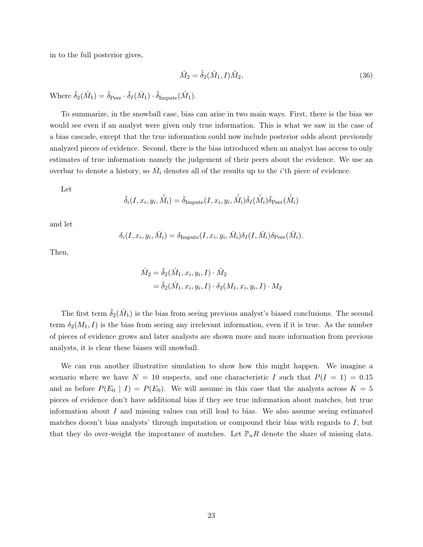in to the full posterior gives,

$$
\hat{M}_2 = \tilde{\delta}_2(\hat{M}_1, I)\tilde{M}_2,\tag{36}
$$

Where  $\tilde{\delta}_2(\hat{M}_1) = \tilde{\delta}_{\text{Peer}} \cdot \tilde{\delta}_I(\hat{M}_1) \cdot \tilde{\delta}_{\text{Impute}}(\hat{M}_1)$ .

To summarize, in the snowball case, bias can arise in two main ways. First, there is the bias we would see even if an analyst were given only true information. This is what we saw in the case of a bias cascade, except that the true information could now include posterior odds about previously analyzed pieces of evidence. Second, there is the bias introduced when an analyst has access to only estimates of true information–namely the judgement of their peers about the evidence. We use an overbar to denote a history, so  $\bar{M}_i$  denotes all of the results up to the *i*'th piece of evidence.

Let

$$
\tilde{\delta}_i(I,x_i,y_i,\bar{\hat{M_i}}) = \tilde{\delta}_{\text{Impute}}(I,x_i,y_i,\bar{\hat{M_i}})\tilde{\delta}_I(\bar{\hat{M_i}})\tilde{\delta}_{\text{Peer}}(\bar{\hat{M_i}})
$$

and let

$$
\delta_i(I, x_i, y_i, \bar{M}_i) = \delta_{\text{Impute}}(I, x_i, y_i, \bar{M}_i) \delta_I(I, \bar{M}_i) \delta_{\text{Peer}}(\bar{M}_i).
$$

Then,

$$
\hat{M}_2 = \tilde{\delta}_2(\hat{M}_1, x_i, y_i, I) \cdot \tilde{M}_2
$$
  
=  $\tilde{\delta}_2(\hat{M}_1, x_i, y_i, I) \cdot \delta_2(M_1, x_i, y_i, I) \cdot M_2$ 

The first term  $\tilde{\delta}_2(\hat{M}_1)$  is the bias from seeing previous analyst's biased conclusions. The second term  $\delta_2(M_1, I)$  is the bias from seeing any irrelevant information, even if it is true. As the number of pieces of evidence grows and later analysts are shown more and more information from previous analysts, it is clear these biases will snowball.

We can run another illustrative simulation to show how this might happen. We imagine a scenario where we have  $N = 10$  suspects, and one characteristic I such that  $P(I = 1) = 0.15$ and as before  $P(E_0 | I) = P(E_0)$ . We will assume in this case that the analysts across  $K = 5$ pieces of evidence don't have additional bias if they see true information about matches, but true information about  $I$  and missing values can still lead to bias. We also assume seeing estimated matches doesn't bias analysts' through imputation or compound their bias with regards to  $I$ , but that they do over-weight the importance of matches. Let  $\mathbb{P}_nR$  denote the share of missing data.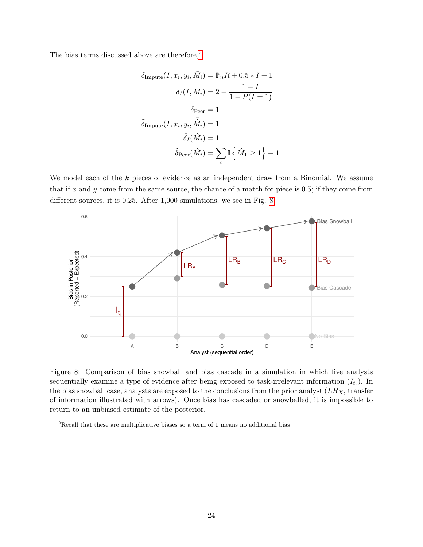The bias terms discussed above are therefore,  $\!2$  $\!2$ 

$$
\delta_{\text{Impute}}(I, x_i, y_i, \bar{M}_i) = \mathbb{P}_n R + 0.5 * I + 1
$$

$$
\delta_I(I, \bar{M}_i) = 2 - \frac{1 - I}{1 - P(I = 1)}
$$

$$
\delta_{\text{Per}} = 1
$$

$$
\tilde{\delta}_{\text{Impute}}(I, x_i, y_i, \bar{\hat{M}}_i) = 1
$$

$$
\tilde{\delta}_I(\bar{\hat{M}}_i) = 1
$$

$$
\tilde{\delta}_{\text{Peer}}(\bar{\hat{M}}_i) = \sum_i \mathbb{I} \left\{ \hat{M}_1 \ge 1 \right\} + 1.
$$

We model each of the  $k$  pieces of evidence as an independent draw from a Binomial. We assume that if x and y come from the same source, the chance of a match for piece is 0.5; if they come from different sources, it is 0.25. After 1,000 simulations, we see in Fig. [8](#page-23-1)



<span id="page-23-1"></span>Figure 8: Comparison of bias snowball and bias cascade in a simulation in which five analysts sequentially examine a type of evidence after being exposed to task-irrelevant information  $(I_{t_i})$ . In the bias snowball case, analysts are exposed to the conclusions from the prior analyst  $(LR_X, \text{transfer})$ of information illustrated with arrows). Once bias has cascaded or snowballed, it is impossible to return to an unbiased estimate of the posterior.

<span id="page-23-0"></span> $^2\mbox{Recall}$  that these are multiplicative biases so a term of 1 means no additional bias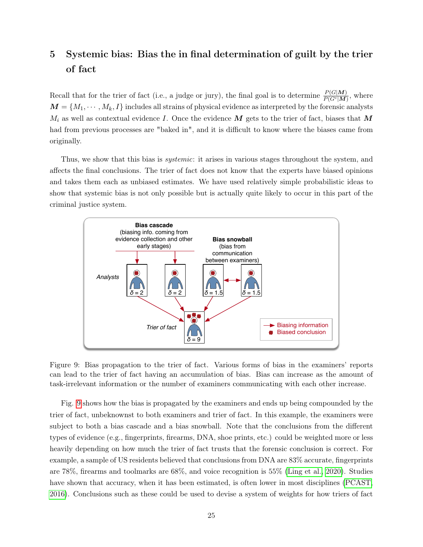## 5 Systemic bias: Bias the in final determination of guilt by the trier of fact

Recall that for the trier of fact (i.e., a judge or jury), the final goal is to determine  $\frac{P(G|M)}{P(G^c|M)}$ , where  $M = \{M_1, \dots, M_k, I\}$  includes all strains of physical evidence as interpreted by the forensic analysts  $M_i$  as well as contextual evidence I. Once the evidence  $\boldsymbol{M}$  gets to the trier of fact, biases that  $\boldsymbol{M}$ had from previous processes are "baked in", and it is difficult to know where the biases came from originally.

Thus, we show that this bias is *systemic*: it arises in various stages throughout the system, and affects the final conclusions. The trier of fact does not know that the experts have biased opinions and takes them each as unbiased estimates. We have used relatively simple probabilistic ideas to show that systemic bias is not only possible but is actually quite likely to occur in this part of the criminal justice system.



<span id="page-24-0"></span>Figure 9: Bias propagation to the trier of fact. Various forms of bias in the examiners' reports can lead to the trier of fact having an accumulation of bias. Bias can increase as the amount of task-irrelevant information or the number of examiners communicating with each other increase.

Fig. [9](#page-24-0) shows how the bias is propagated by the examiners and ends up being compounded by the trier of fact, unbeknownst to both examiners and trier of fact. In this example, the examiners were subject to both a bias cascade and a bias snowball. Note that the conclusions from the different types of evidence (e.g., fingerprints, firearms, DNA, shoe prints, etc.) could be weighted more or less heavily depending on how much the trier of fact trusts that the forensic conclusion is correct. For example, a sample of US residents believed that conclusions from DNA are 83% accurate, fingerprints are 78%, firearms and toolmarks are 68%, and voice recognition is 55% [\(Ling et al., 2020\)](#page-28-13). Studies have shown that accuracy, when it has been estimated, is often lower in most disciplines [\(PCAST,](#page-29-9) [2016\)](#page-29-9). Conclusions such as these could be used to devise a system of weights for how triers of fact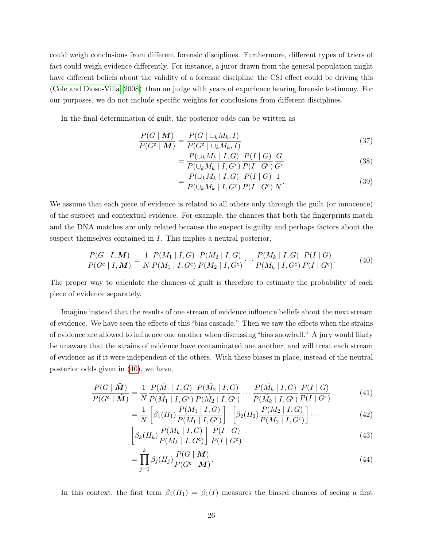could weigh conclusions from different forensic disciplines. Furthermore, different types of triers of fact could weigh evidence differently. For instance, a juror drawn from the general population might have different beliefs about the validity of a forensic discipline–the CSI effect could be driving this [\(Cole and Dioso-Villa, 2008\)](#page-28-14)–than an judge with years of experience hearing forensic testimony. For our purposes, we do not include specific weights for conclusions from different disciplines.

In the final determination of guilt, the posterior odds can be written as

$$
\frac{P(G \mid \boldsymbol{M})}{P(G^c \mid \boldsymbol{M})} = \frac{P(G \mid \cup_k M_k, I)}{P(G^c \mid \cup_k M_k, I)}
$$
\n(37)

$$
=\frac{P(\cup_k M_k | I, G)}{P(\cup_k M_k | I, G^c)} \frac{P(I | G)}{P(I | G^c)} \frac{G}{G^c}
$$
\n(38)

<span id="page-25-0"></span>
$$
= \frac{P(\cup_k M_k | I, G)}{P(\cup_k M_k | I, G^c)} \frac{P(I | G)}{P(I | G^c)} \frac{1}{N}.
$$
\n(39)

We assume that each piece of evidence is related to all others only through the guilt (or innocence) of the suspect and contextual evidence. For example, the chances that both the fingerprints match and the DNA matches are only related because the suspect is guilty and perhaps factors about the suspect themselves contained in I. This implies a neutral posterior,

$$
\frac{P(G \mid I, \mathbf{M})}{P(G^c \mid I, \mathbf{M})} = \frac{1}{N} \frac{P(M_1 \mid I, G)}{P(M_1 \mid I, G^c)} \frac{P(M_2 \mid I, G)}{P(M_2 \mid I, G^c)} \cdots \frac{P(M_k \mid I, G)}{P(M_k \mid I, G^c)} \frac{P(I \mid G)}{P(I \mid G^c)}.
$$
(40)

The proper way to calculate the chances of guilt is therefore to estimate the probability of each piece of evidence separately.

Imagine instead that the results of one stream of evidence influence beliefs about the next stream of evidence. We have seen the effects of this "bias cascade." Then we saw the effects when the strains of evidence are allowed to influence one another when discussing "bias snowball." A jury would likely be unaware that the strains of evidence have contaminated one another, and will treat each stream of evidence as if it were independent of the others. With these biases in place, instead of the neutral posterior odds given in [\(40\)](#page-25-0), we have,

$$
\frac{P(G \mid \hat{M})}{P(G^c \mid \hat{M})} = \frac{1}{N} \frac{P(\hat{M}_1 \mid I, G)}{P(\hat{M}_1 \mid I, G^c)} \frac{P(\hat{M}_2 \mid I, G)}{P(\hat{M}_2 \mid I, G^c)} \cdots \frac{P(\hat{M}_k \mid I, G)}{P(\hat{M}_k \mid I, G^c)} \frac{P(I \mid G)}{P(I \mid G^c)}
$$
(41)

$$
= \frac{1}{N} \left[ \beta_1(H_1) \frac{P(M_1 | I, G)}{P(M_1 | I, G^c)} \right] \cdot \left[ \beta_2(H_2) \frac{P(M_2 | I, G)}{P(M_2 | I, G^c)} \right] \cdots
$$
 (42)

$$
\left[\beta_k(H_k)\frac{P(M_k\mid I,G)}{P(M_k\mid I,G^c)}\right]\frac{P(I\mid G)}{P(I\mid G^c)}\tag{43}
$$

$$
=\prod_{j=1}^{k}\beta_j(H_j)\frac{P(G\mid M)}{P(G^c\mid M)}.\tag{44}
$$

In this context, the first term  $\beta_1(H_1) = \beta_1(I)$  measures the biased chances of seeing a first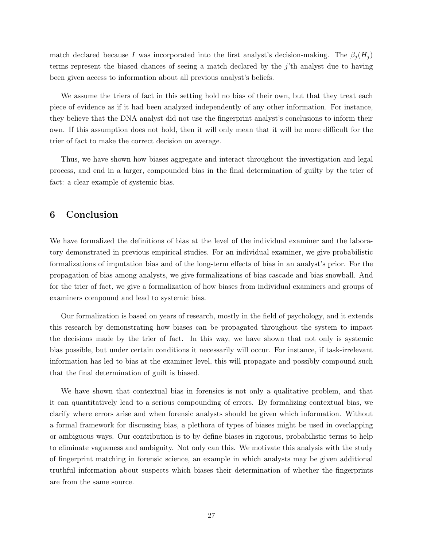match declared because I was incorporated into the first analyst's decision-making. The  $\beta_i(H_i)$ terms represent the biased chances of seeing a match declared by the j'th analyst due to having been given access to information about all previous analyst's beliefs.

We assume the triers of fact in this setting hold no bias of their own, but that they treat each piece of evidence as if it had been analyzed independently of any other information. For instance, they believe that the DNA analyst did not use the fingerprint analyst's conclusions to inform their own. If this assumption does not hold, then it will only mean that it will be more difficult for the trier of fact to make the correct decision on average.

Thus, we have shown how biases aggregate and interact throughout the investigation and legal process, and end in a larger, compounded bias in the final determination of guilty by the trier of fact: a clear example of systemic bias.

### 6 Conclusion

We have formalized the definitions of bias at the level of the individual examiner and the laboratory demonstrated in previous empirical studies. For an individual examiner, we give probabilistic formalizations of imputation bias and of the long-term effects of bias in an analyst's prior. For the propagation of bias among analysts, we give formalizations of bias cascade and bias snowball. And for the trier of fact, we give a formalization of how biases from individual examiners and groups of examiners compound and lead to systemic bias.

Our formalization is based on years of research, mostly in the field of psychology, and it extends this research by demonstrating how biases can be propagated throughout the system to impact the decisions made by the trier of fact. In this way, we have shown that not only is systemic bias possible, but under certain conditions it necessarily will occur. For instance, if task-irrelevant information has led to bias at the examiner level, this will propagate and possibly compound such that the final determination of guilt is biased.

We have shown that contextual bias in forensics is not only a qualitative problem, and that it can quantitatively lead to a serious compounding of errors. By formalizing contextual bias, we clarify where errors arise and when forensic analysts should be given which information. Without a formal framework for discussing bias, a plethora of types of biases might be used in overlapping or ambiguous ways. Our contribution is to by define biases in rigorous, probabilistic terms to help to eliminate vagueness and ambiguity. Not only can this. We motivate this analysis with the study of fingerprint matching in forensic science, an example in which analysts may be given additional truthful information about suspects which biases their determination of whether the fingerprints are from the same source.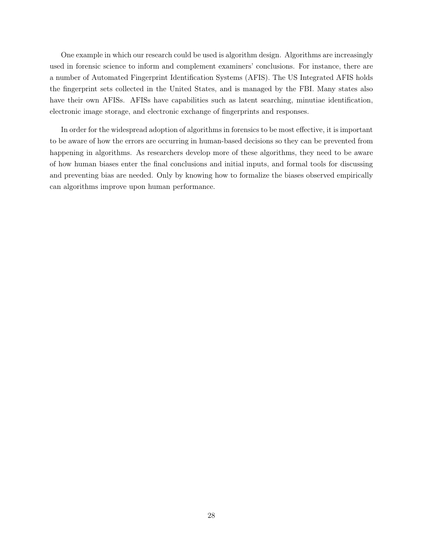One example in which our research could be used is algorithm design. Algorithms are increasingly used in forensic science to inform and complement examiners' conclusions. For instance, there are a number of Automated Fingerprint Identification Systems (AFIS). The US Integrated AFIS holds the fingerprint sets collected in the United States, and is managed by the FBI. Many states also have their own AFISs. AFISs have capabilities such as latent searching, minutiae identification, electronic image storage, and electronic exchange of fingerprints and responses.

In order for the widespread adoption of algorithms in forensics to be most effective, it is important to be aware of how the errors are occurring in human-based decisions so they can be prevented from happening in algorithms. As researchers develop more of these algorithms, they need to be aware of how human biases enter the final conclusions and initial inputs, and formal tools for discussing and preventing bias are needed. Only by knowing how to formalize the biases observed empirically can algorithms improve upon human performance.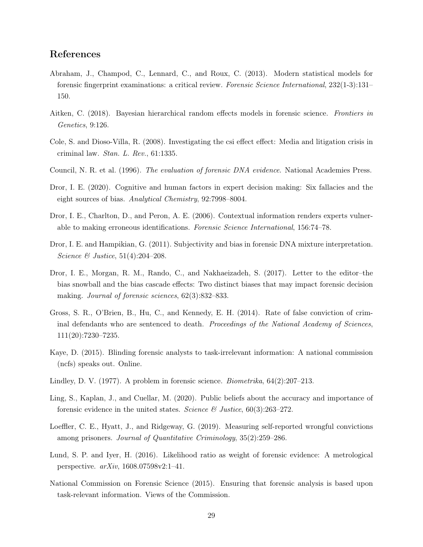### References

- <span id="page-28-6"></span>Abraham, J., Champod, C., Lennard, C., and Roux, C. (2013). Modern statistical models for forensic fingerprint examinations: a critical review. Forensic Science International, 232(1-3):131– 150.
- <span id="page-28-2"></span>Aitken, C. (2018). Bayesian hierarchical random effects models in forensic science. Frontiers in Genetics, 9:126.
- <span id="page-28-14"></span>Cole, S. and Dioso-Villa, R. (2008). Investigating the csi effect effect: Media and litigation crisis in criminal law. Stan. L. Rev., 61:1335.
- <span id="page-28-5"></span>Council, N. R. et al. (1996). The evaluation of forensic DNA evidence. National Academies Press.
- <span id="page-28-8"></span>Dror, I. E. (2020). Cognitive and human factors in expert decision making: Six fallacies and the eight sources of bias. Analytical Chemistry, 92:7998–8004.
- <span id="page-28-0"></span>Dror, I. E., Charlton, D., and Peron, A. E. (2006). Contextual information renders experts vulnerable to making erroneous identifications. Forensic Science International, 156:74–78.
- <span id="page-28-1"></span>Dror, I. E. and Hampikian, G. (2011). Subjectivity and bias in forensic DNA mixture interpretation. Science  $\&$  Justice, 51(4):204–208.
- <span id="page-28-12"></span>Dror, I. E., Morgan, R. M., Rando, C., and Nakhaeizadeh, S. (2017). Letter to the editor–the bias snowball and the bias cascade effects: Two distinct biases that may impact forensic decision making. Journal of forensic sciences, 62(3):832–833.
- <span id="page-28-10"></span>Gross, S. R., O'Brien, B., Hu, C., and Kennedy, E. H. (2014). Rate of false conviction of criminal defendants who are sentenced to death. Proceedings of the National Academy of Sciences, 111(20):7230–7235.
- <span id="page-28-7"></span>Kaye, D. (2015). Blinding forensic analysts to task-irrelevant information: A national commission (ncfs) speaks out. Online.
- <span id="page-28-4"></span>Lindley, D. V. (1977). A problem in forensic science. *Biometrika*,  $64(2):207-213$ .
- <span id="page-28-13"></span>Ling, S., Kaplan, J., and Cuellar, M. (2020). Public beliefs about the accuracy and importance of forensic evidence in the united states. Science  $\mathcal{B}$  Justice, 60(3):263–272.
- <span id="page-28-11"></span>Loeffler, C. E., Hyatt, J., and Ridgeway, G. (2019). Measuring self-reported wrongful convictions among prisoners. Journal of Quantitative Criminology, 35(2):259–286.
- <span id="page-28-3"></span>Lund, S. P. and Iyer, H. (2016). Likelihood ratio as weight of forensic evidence: A metrological perspective. arXiv, 1608.07598v2:1–41.
- <span id="page-28-9"></span>National Commission on Forensic Science (2015). Ensuring that forensic analysis is based upon task-relevant information. Views of the Commission.